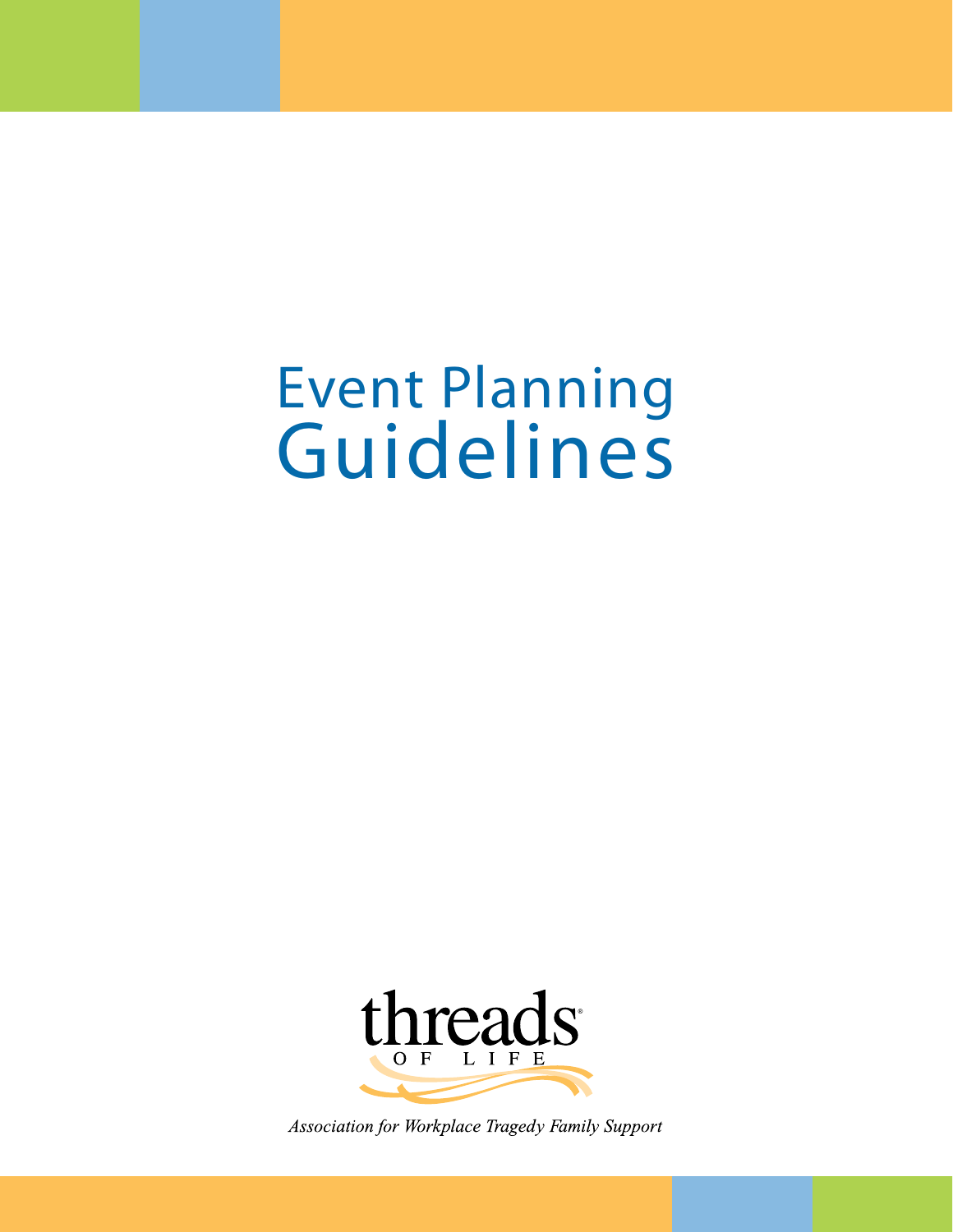# Event Planning Guidelines



Association for Workplace Tragedy Family Support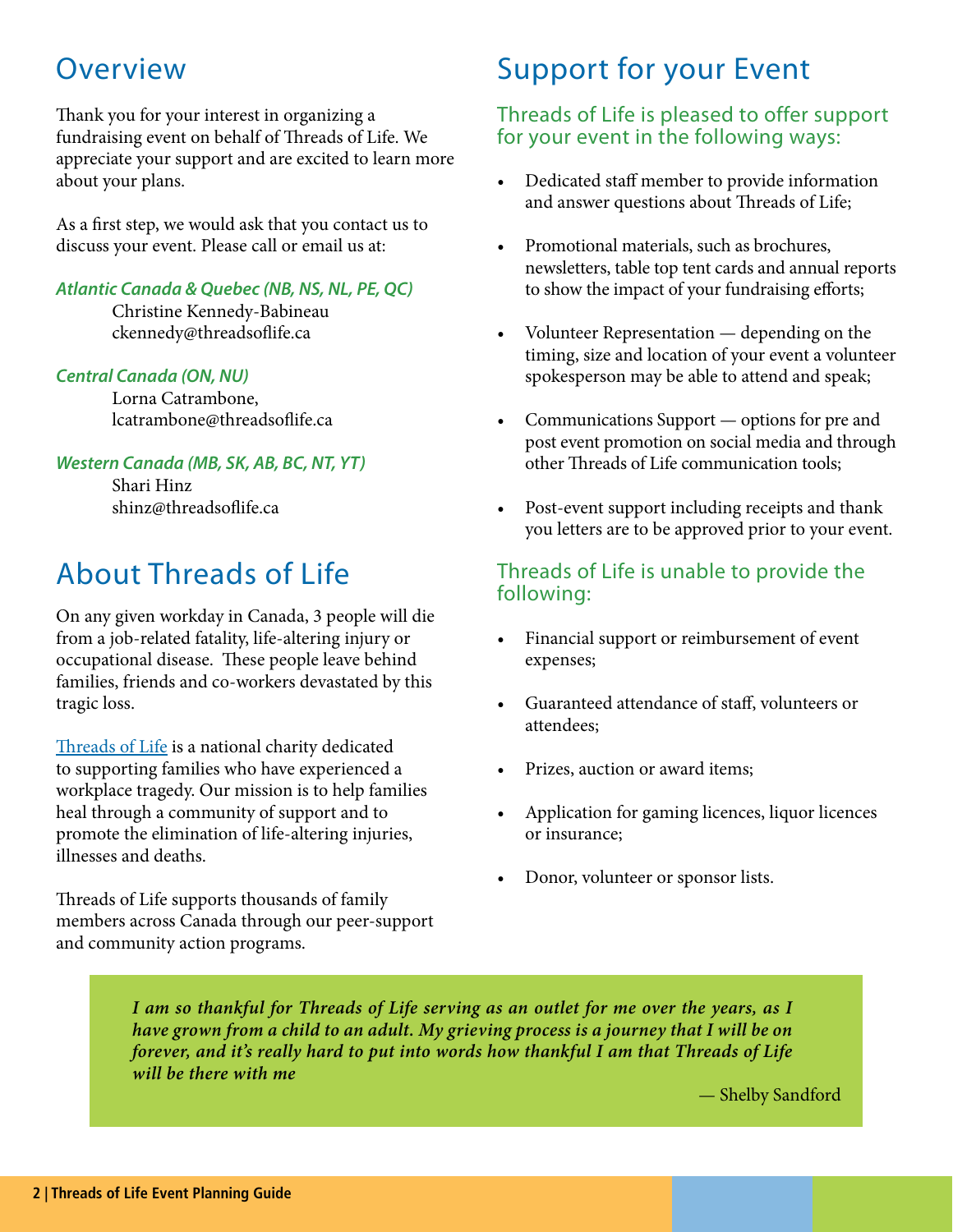## **Overview**

Thank you for your interest in organizing a fundraising event on behalf of Threads of Life. We appreciate your support and are excited to learn more about your plans.

As a first step, we would ask that you contact us to discuss your event. Please call or email us at:

### *Atlantic Canada & Quebec (NB, NS, NL, PE, QC)*

Christine Kennedy-Babineau ckennedy@threadsoflife.ca

### *Central Canada (ON, NU)*

Lorna Catrambone, lcatrambone@threadsoflife.ca

### *Western Canada (MB, SK, AB, BC, NT, YT)*

Shari Hinz shinz@threadsoflife.ca

# About Threads of Life

On any given workday in Canada, 3 people will die from a job-related fatality, life-altering injury or occupational disease. These people leave behind families, friends and co-workers devastated by this tragic loss.

[Threads of Life](https://threadsoflife.ca) is a national charity dedicated to supporting families who have experienced a workplace tragedy. Our mission is to help families heal through a community of support and to promote the elimination of life-altering injuries, illnesses and deaths.

Threads of Life supports thousands of family members across Canada through our peer-support and community action programs.

# Support for your Event

### Threads of Life is pleased to offer support for your event in the following ways:

- Dedicated staff member to provide information and answer questions about Threads of Life;
- Promotional materials, such as brochures, newsletters, table top tent cards and annual reports to show the impact of your fundraising efforts;
- Volunteer Representation depending on the timing, size and location of your event a volunteer spokesperson may be able to attend and speak;
- Communications Support options for pre and post event promotion on social media and through other Threads of Life communication tools;
- Post-event support including receipts and thank you letters are to be approved prior to your event.

### Threads of Life is unable to provide the following:

- Financial support or reimbursement of event expenses;
- Guaranteed attendance of staff, volunteers or attendees;
- Prizes, auction or award items;
- Application for gaming licences, liquor licences or insurance;
- Donor, volunteer or sponsor lists.

*I am so thankful for Threads of Life serving as an outlet for me over the years, as I have grown from a child to an adult. My grieving process is a journey that I will be on forever, and it's really hard to put into words how thankful I am that Threads of Life will be there with me* 

— Shelby Sandford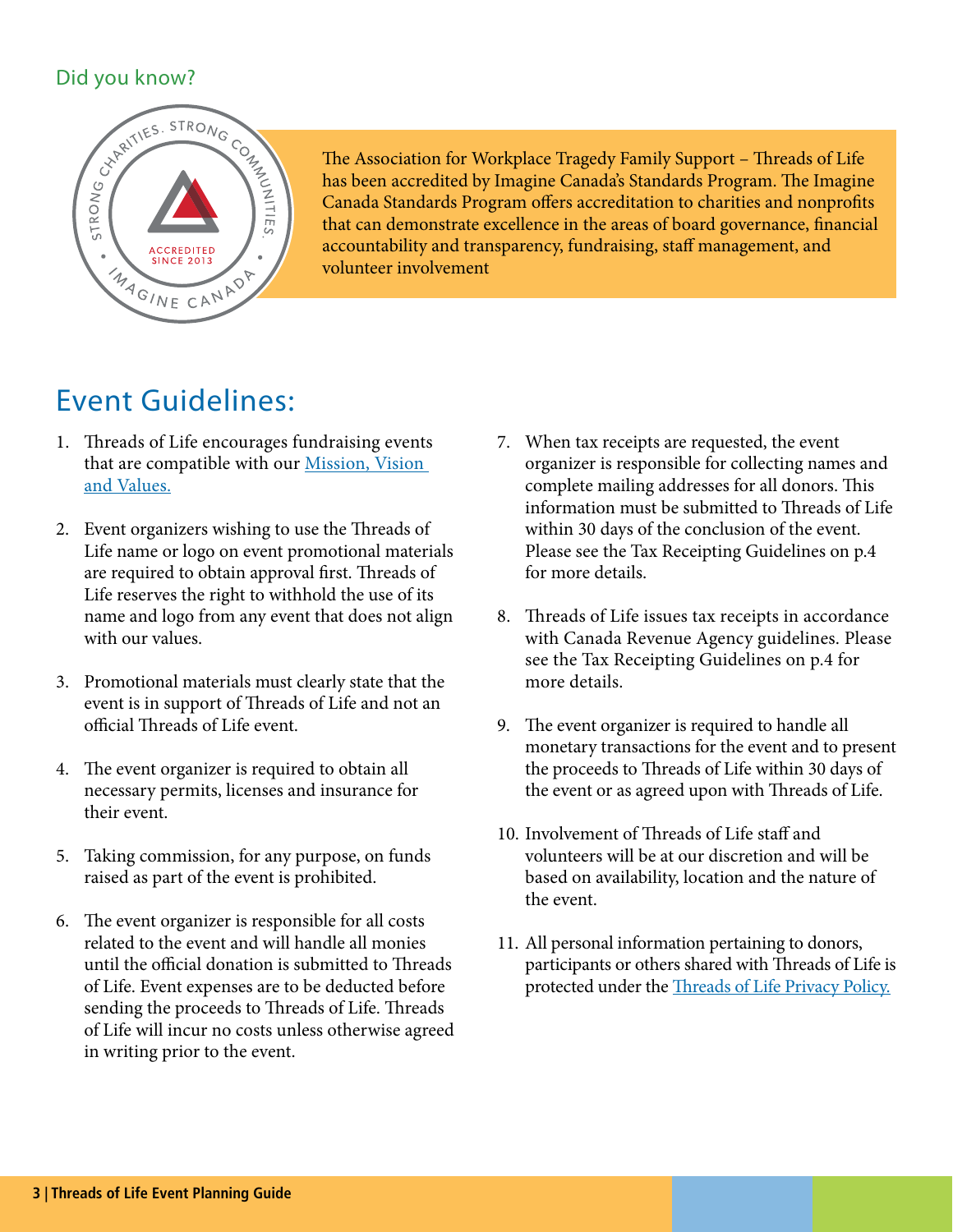

The Association for Workplace Tragedy Family Support – Threads of Life has been accredited by Imagine Canada's Standards Program. The Imagine Canada Standards Program offers accreditation to charities and nonprofits that can demonstrate excellence in the areas of board governance, financial accountability and transparency, fundraising, staff management, and volunteer involvement

# Event Guidelines:

- 1. Threads of Life encourages fundraising events that are compatible with our **Mission**, Vision [and Values.](https://threadsoflife.ca/about-us/our-mission-vision-and-values/)
- 2. Event organizers wishing to use the Threads of Life name or logo on event promotional materials are required to obtain approval first. Threads of Life reserves the right to withhold the use of its name and logo from any event that does not align with our values.
- 3. Promotional materials must clearly state that the event is in support of Threads of Life and not an official Threads of Life event.
- 4. The event organizer is required to obtain all necessary permits, licenses and insurance for their event.
- 5. Taking commission, for any purpose, on funds raised as part of the event is prohibited.
- 6. The event organizer is responsible for all costs related to the event and will handle all monies until the official donation is submitted to Threads of Life. Event expenses are to be deducted before sending the proceeds to Threads of Life. Threads of Life will incur no costs unless otherwise agreed in writing prior to the event.
- 7. When tax receipts are requested, the event organizer is responsible for collecting names and complete mailing addresses for all donors. This information must be submitted to Threads of Life within 30 days of the conclusion of the event. Please see the Tax Receipting Guidelines on p.4 for more details.
- 8. Threads of Life issues tax receipts in accordance with Canada Revenue Agency guidelines. Please see the Tax Receipting Guidelines on p.4 for more details.
- 9. The event organizer is required to handle all monetary transactions for the event and to present the proceeds to Threads of Life within 30 days of the event or as agreed upon with Threads of Life.
- 10. Involvement of Threads of Life staff and volunteers will be at our discretion and will be based on availability, location and the nature of the event.
- 11. All personal information pertaining to donors, participants or others shared with Threads of Life is protected under the [Threads of Life Privacy Policy.](https://threadsoflife.ca/privacy/)